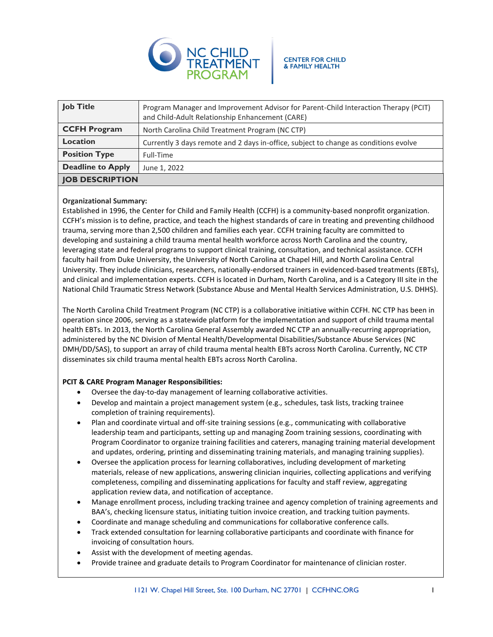

| <b>Job Title</b>         | Program Manager and Improvement Advisor for Parent-Child Interaction Therapy (PCIT)<br>and Child-Adult Relationship Enhancement (CARE) |
|--------------------------|----------------------------------------------------------------------------------------------------------------------------------------|
| <b>CCFH Program</b>      | North Carolina Child Treatment Program (NC CTP)                                                                                        |
| Location                 | Currently 3 days remote and 2 days in-office, subject to change as conditions evolve                                                   |
| <b>Position Type</b>     | Full-Time                                                                                                                              |
| <b>Deadline to Apply</b> | June 1, 2022                                                                                                                           |
| <b>JOB DESCRIPTION</b>   |                                                                                                                                        |

## **Organizational Summary:**

Established in 1996, the Center for Child and Family Health (CCFH) is a community-based nonprofit organization. CCFH's mission is to define, practice, and teach the highest standards of care in treating and preventing childhood trauma, serving more than 2,500 children and families each year. CCFH training faculty are committed to developing and sustaining a child trauma mental health workforce across North Carolina and the country, leveraging state and federal programs to support clinical training, consultation, and technical assistance. CCFH faculty hail from Duke University, the University of North Carolina at Chapel Hill, and North Carolina Central University. They include clinicians, researchers, nationally-endorsed trainers in evidenced-based treatments (EBTs), and clinical and implementation experts. CCFH is located in Durham, North Carolina, and is a Category III site in the National Child Traumatic Stress Network (Substance Abuse and Mental Health Services Administration, U.S. DHHS).

The North Carolina Child Treatment Program (NC CTP) is a collaborative initiative within CCFH. NC CTP has been in operation since 2006, serving as a statewide platform for the implementation and support of child trauma mental health EBTs. In 2013, the North Carolina General Assembly awarded NC CTP an annually-recurring appropriation, administered by the NC Division of Mental Health/Developmental Disabilities/Substance Abuse Services (NC DMH/DD/SAS), to support an array of child trauma mental health EBTs across North Carolina. Currently, NC CTP disseminates six child trauma mental health EBTs across North Carolina.

# **PCIT & CARE Program Manager Responsibilities:**

- Oversee the day-to-day management of learning collaborative activities.
- Develop and maintain a project management system (e.g., schedules, task lists, tracking trainee completion of training requirements).
- Plan and coordinate virtual and off-site training sessions (e.g., communicating with collaborative leadership team and participants, setting up and managing Zoom training sessions, coordinating with Program Coordinator to organize training facilities and caterers, managing training material development and updates, ordering, printing and disseminating training materials, and managing training supplies).
- Oversee the application process for learning collaboratives, including development of marketing materials, release of new applications, answering clinician inquiries, collecting applications and verifying completeness, compiling and disseminating applications for faculty and staff review, aggregating application review data, and notification of acceptance.
- Manage enrollment process, including tracking trainee and agency completion of training agreements and BAA's, checking licensure status, initiating tuition invoice creation, and tracking tuition payments.
- Coordinate and manage scheduling and communications for collaborative conference calls.
- Track extended consultation for learning collaborative participants and coordinate with finance for invoicing of consultation hours.
- Assist with the development of meeting agendas.
- Provide trainee and graduate details to Program Coordinator for maintenance of clinician roster.